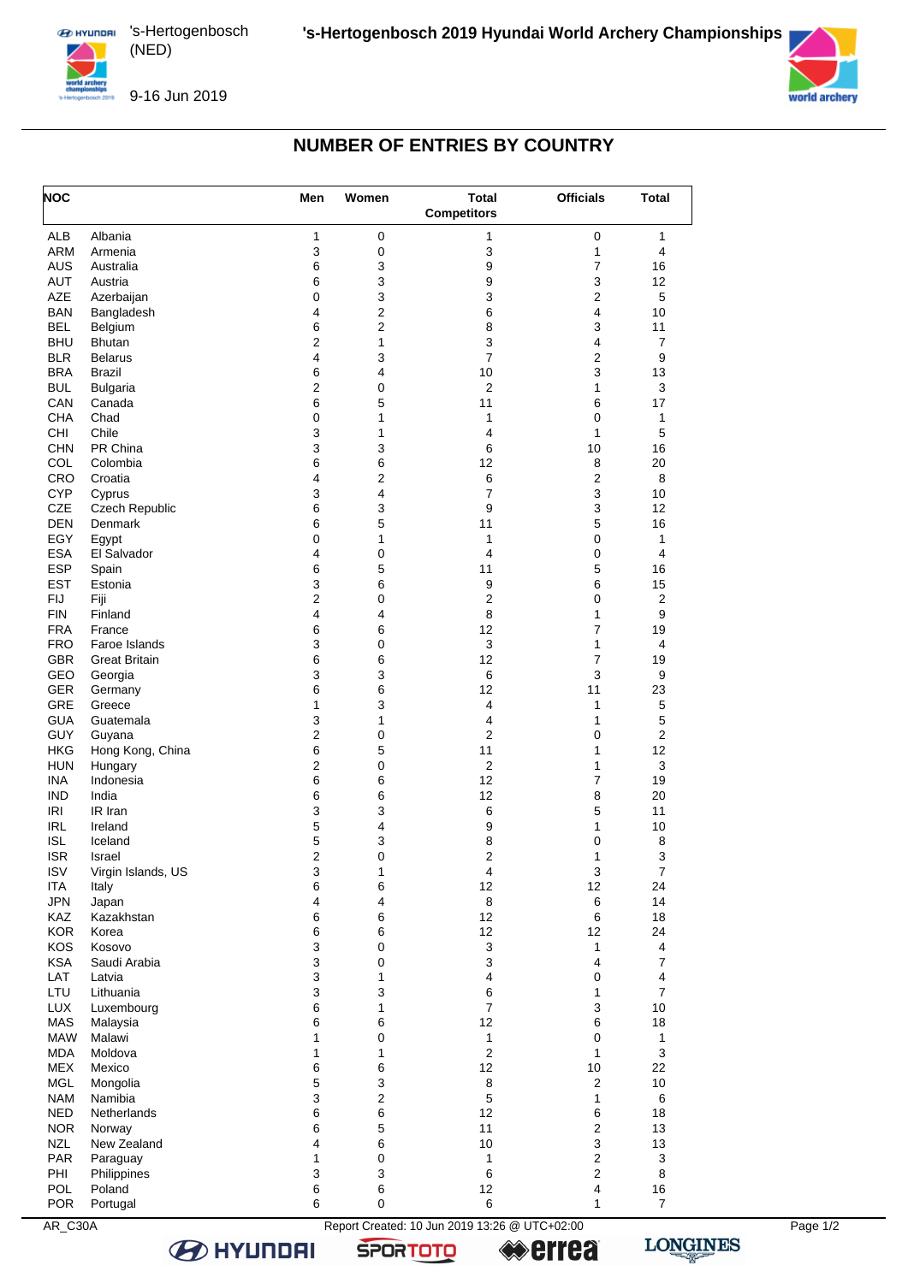







## **NUMBER OF ENTRIES BY COUNTRY**

| $\mathbf{1}$<br>0<br>ALB<br>Albania<br>0<br>$\mathbf{1}$<br>1<br>3<br>3<br>ARM<br>$\pmb{0}$<br>4<br>Armenia<br>1<br><b>AUS</b><br>6<br>3<br>7<br>16<br>9<br>Australia<br>3<br>3<br>AUT<br>6<br>9<br>12<br>Austria<br>3<br>5<br>AZE<br>Azerbaijan<br>0<br>3<br>2<br><b>BAN</b><br>Bangladesh<br>4<br>$\overline{2}$<br>6<br>4<br>10<br>6<br>$\boldsymbol{2}$<br><b>BEL</b><br>8<br>3<br>11<br>Belgium<br>2<br><b>BHU</b><br>$\mathbf{1}$<br>3<br>4<br>7<br><b>Bhutan</b><br>$\overline{7}$<br>4<br>3<br><b>BLR</b><br>2<br>9<br><b>Belarus</b><br><b>BRA</b><br>6<br>3<br>$\overline{4}$<br>10<br>13<br>Brazil<br><b>BUL</b><br>$\overline{\mathbf{c}}$<br>$\mathbf 0$<br>$\overline{c}$<br>3<br><b>Bulgaria</b><br>1<br>6<br>5<br>17<br>CAN<br>11<br>6<br>Canada<br><b>CHA</b><br>0<br>1<br>$\mathbf{1}$<br>0<br>$\mathbf{1}$<br>Chad<br>CHI<br>Chile<br>3<br>1<br>5<br>1<br>4<br>PR China<br>3<br>3<br>16<br><b>CHN</b><br>6<br>10<br>COL<br>6<br>20<br>6<br>12<br>8<br>Colombia<br>$\boldsymbol{2}$<br>6<br>2<br>CRO<br>4<br>8<br>Croatia<br><b>CYP</b><br>3<br>$\overline{4}$<br>$\overline{7}$<br>3<br>10<br>Cyprus<br><b>CZE</b><br>Czech Republic<br>6<br>3<br>9<br>3<br>12<br>5<br><b>DEN</b><br>6<br>5<br>16<br>Denmark<br>11<br>EGY<br>0<br>$\mathbf{1}$<br>$\mathbf{1}$<br>0<br>$\mathbf{1}$<br>Egypt<br><b>ESA</b><br>El Salvador<br>4<br>$\pmb{0}$<br>4<br>0<br>4<br><b>ESP</b><br>6<br>5<br>5<br>16<br>11<br>Spain<br><b>EST</b><br>3<br>6<br>9<br>6<br>15<br>Estonia<br>$\overline{\mathbf{c}}$<br>$\boldsymbol{2}$<br><b>FIJ</b><br>Fiji<br>$\pmb{0}$<br>2<br>0<br>8<br><b>FIN</b><br>Finland<br>4<br>$\mathbf{1}$<br>9<br>4<br><b>FRA</b><br>6<br>6<br>12<br>7<br>19<br>France<br>3<br>3<br><b>FRO</b><br>Faroe Islands<br>$\pmb{0}$<br>4<br>1<br>GBR<br>6<br>12<br>7<br><b>Great Britain</b><br>6<br>19<br>3<br>3<br>6<br>3<br>GEO<br>9<br>Georgia<br>6<br>6<br><b>GER</b><br>12<br>11<br>23<br>Germany<br>GRE<br>1<br>3<br>4<br>5<br>Greece<br>1<br>3<br>5<br><b>GUA</b><br>1<br>1<br>Guatemala<br>4<br>2<br>GUY<br>$\pmb{0}$<br>2<br>0<br>$\overline{c}$<br>Guyana<br>6<br>12<br><b>HKG</b><br>Hong Kong, China<br>5<br>11<br>$\mathbf{1}$<br>$\overline{2}$<br>$\mathbf 0$<br>$\overline{2}$<br>3<br><b>HUN</b><br>$\mathbf{1}$<br>Hungary<br>6<br>12<br><b>INA</b><br>6<br>7<br>19<br>Indonesia<br>6<br>12<br><b>IND</b><br>India<br>6<br>8<br>20<br>3<br>6<br>5<br>IRI<br>3<br>11<br>IR Iran<br>5<br>9<br>10<br>IRL<br>Ireland<br>4<br>1<br>5<br>$\bf8$<br><b>ISL</b><br>3<br>8<br>0<br>Iceland<br><b>ISR</b><br>$\overline{2}$<br>3<br>$\mathbf 0$<br>2<br>$\mathbf{1}$<br>Israel<br><b>ISV</b><br>Virgin Islands, US<br>3<br>1<br>4<br>3<br>7<br>6<br>6<br>12<br>12<br>24<br><b>ITA</b><br>Italy<br><b>JPN</b><br>14<br>4<br>4<br>8<br>6<br>Japan<br>12<br>KAZ<br>Kazakhstan<br>6<br>6<br>6<br>18<br><b>KOR</b><br>6<br>6<br>12<br>12<br>24<br>Korea<br>KOS<br>Kosovo<br>3<br>0<br>3<br>4<br>1<br>3<br>$\mathbf 0$<br>3<br>$\overline{7}$<br><b>KSA</b><br>Saudi Arabia<br>4<br>3<br>4<br>LAT<br>$\mathbf{1}$<br>0<br>4<br>Latvia<br>LTU<br>3<br>$\overline{7}$<br>3<br>6<br>Lithuania<br>1<br>6<br>$\overline{7}$<br>3<br>10<br><b>LUX</b><br>$\mathbf{1}$<br>Luxembourg<br>MAS<br>6<br>6<br>12<br>6<br>18<br>Malaysia<br><b>MAW</b><br>Malawi<br>$\mathbf 0$<br>$\mathbf{1}$<br>0<br>$\mathbf{1}$<br>1<br>$\overline{c}$<br>3<br><b>MDA</b><br>$\mathbf{1}$<br>$\mathbf{1}$<br>$\mathbf{1}$<br>Moldova<br>MEX<br>Mexico<br>6<br>6<br>12<br>10<br>22<br><b>MGL</b><br>5<br>3<br>8<br>2<br>10<br>Mongolia<br>3<br>$\overline{2}$<br><b>NAM</b><br>Namibia<br>5<br>$\mathbf{1}$<br>6<br><b>NED</b><br>6<br>6<br>12<br>6<br>18<br>Netherlands<br>5<br>2<br><b>NOR</b><br>6<br>11<br>13<br>Norway<br>3<br>$10$<br>13<br><b>NZL</b><br>New Zealand<br>4<br>6<br>PAR<br>$\pmb{0}$<br>2<br>$\mathbf{1}$<br>3<br>Paraguay<br>1<br>2<br>PHI<br>Philippines<br>3<br>3<br>6<br>8<br>6<br>POL<br>Poland<br>6<br>12<br>4<br>16<br><b>POR</b><br>6<br>$\pmb{0}$<br>6<br>$\boldsymbol{7}$<br>$\mathbf{1}$<br>Portugal<br>AR_C30A<br>Report Created: 10 Jun 2019 13:26 @ UTC+02:00 | <b>NOC</b> |  | Men | Women | <b>Total</b><br><b>Competitors</b> | <b>Officials</b> | <b>Total</b> |
|---------------------------------------------------------------------------------------------------------------------------------------------------------------------------------------------------------------------------------------------------------------------------------------------------------------------------------------------------------------------------------------------------------------------------------------------------------------------------------------------------------------------------------------------------------------------------------------------------------------------------------------------------------------------------------------------------------------------------------------------------------------------------------------------------------------------------------------------------------------------------------------------------------------------------------------------------------------------------------------------------------------------------------------------------------------------------------------------------------------------------------------------------------------------------------------------------------------------------------------------------------------------------------------------------------------------------------------------------------------------------------------------------------------------------------------------------------------------------------------------------------------------------------------------------------------------------------------------------------------------------------------------------------------------------------------------------------------------------------------------------------------------------------------------------------------------------------------------------------------------------------------------------------------------------------------------------------------------------------------------------------------------------------------------------------------------------------------------------------------------------------------------------------------------------------------------------------------------------------------------------------------------------------------------------------------------------------------------------------------------------------------------------------------------------------------------------------------------------------------------------------------------------------------------------------------------------------------------------------------------------------------------------------------------------------------------------------------------------------------------------------------------------------------------------------------------------------------------------------------------------------------------------------------------------------------------------------------------------------------------------------------------------------------------------------------------------------------------------------------------------------------------------------------------------------------------------------------------------------------------------------------------------------------------------------------------------------------------------------------------------------------------------------------------------------------------------------------------------------------------------------------------------------------------------------------------------------------------------------------------------------------------------------------------------------------------------------------------------------------------------------------------------------------------------------------------------------------------------------------------------------------------------------------------------------------------------------------------------------------------------------------------------------------------------------------------------------------------|------------|--|-----|-------|------------------------------------|------------------|--------------|
|                                                                                                                                                                                                                                                                                                                                                                                                                                                                                                                                                                                                                                                                                                                                                                                                                                                                                                                                                                                                                                                                                                                                                                                                                                                                                                                                                                                                                                                                                                                                                                                                                                                                                                                                                                                                                                                                                                                                                                                                                                                                                                                                                                                                                                                                                                                                                                                                                                                                                                                                                                                                                                                                                                                                                                                                                                                                                                                                                                                                                                                                                                                                                                                                                                                                                                                                                                                                                                                                                                                                                                                                                                                                                                                                                                                                                                                                                                                                                                                                                                                                                             |            |  |     |       |                                    |                  |              |
|                                                                                                                                                                                                                                                                                                                                                                                                                                                                                                                                                                                                                                                                                                                                                                                                                                                                                                                                                                                                                                                                                                                                                                                                                                                                                                                                                                                                                                                                                                                                                                                                                                                                                                                                                                                                                                                                                                                                                                                                                                                                                                                                                                                                                                                                                                                                                                                                                                                                                                                                                                                                                                                                                                                                                                                                                                                                                                                                                                                                                                                                                                                                                                                                                                                                                                                                                                                                                                                                                                                                                                                                                                                                                                                                                                                                                                                                                                                                                                                                                                                                                             |            |  |     |       |                                    |                  |              |
|                                                                                                                                                                                                                                                                                                                                                                                                                                                                                                                                                                                                                                                                                                                                                                                                                                                                                                                                                                                                                                                                                                                                                                                                                                                                                                                                                                                                                                                                                                                                                                                                                                                                                                                                                                                                                                                                                                                                                                                                                                                                                                                                                                                                                                                                                                                                                                                                                                                                                                                                                                                                                                                                                                                                                                                                                                                                                                                                                                                                                                                                                                                                                                                                                                                                                                                                                                                                                                                                                                                                                                                                                                                                                                                                                                                                                                                                                                                                                                                                                                                                                             |            |  |     |       |                                    |                  |              |
|                                                                                                                                                                                                                                                                                                                                                                                                                                                                                                                                                                                                                                                                                                                                                                                                                                                                                                                                                                                                                                                                                                                                                                                                                                                                                                                                                                                                                                                                                                                                                                                                                                                                                                                                                                                                                                                                                                                                                                                                                                                                                                                                                                                                                                                                                                                                                                                                                                                                                                                                                                                                                                                                                                                                                                                                                                                                                                                                                                                                                                                                                                                                                                                                                                                                                                                                                                                                                                                                                                                                                                                                                                                                                                                                                                                                                                                                                                                                                                                                                                                                                             |            |  |     |       |                                    |                  |              |
|                                                                                                                                                                                                                                                                                                                                                                                                                                                                                                                                                                                                                                                                                                                                                                                                                                                                                                                                                                                                                                                                                                                                                                                                                                                                                                                                                                                                                                                                                                                                                                                                                                                                                                                                                                                                                                                                                                                                                                                                                                                                                                                                                                                                                                                                                                                                                                                                                                                                                                                                                                                                                                                                                                                                                                                                                                                                                                                                                                                                                                                                                                                                                                                                                                                                                                                                                                                                                                                                                                                                                                                                                                                                                                                                                                                                                                                                                                                                                                                                                                                                                             |            |  |     |       |                                    |                  |              |
|                                                                                                                                                                                                                                                                                                                                                                                                                                                                                                                                                                                                                                                                                                                                                                                                                                                                                                                                                                                                                                                                                                                                                                                                                                                                                                                                                                                                                                                                                                                                                                                                                                                                                                                                                                                                                                                                                                                                                                                                                                                                                                                                                                                                                                                                                                                                                                                                                                                                                                                                                                                                                                                                                                                                                                                                                                                                                                                                                                                                                                                                                                                                                                                                                                                                                                                                                                                                                                                                                                                                                                                                                                                                                                                                                                                                                                                                                                                                                                                                                                                                                             |            |  |     |       |                                    |                  |              |
|                                                                                                                                                                                                                                                                                                                                                                                                                                                                                                                                                                                                                                                                                                                                                                                                                                                                                                                                                                                                                                                                                                                                                                                                                                                                                                                                                                                                                                                                                                                                                                                                                                                                                                                                                                                                                                                                                                                                                                                                                                                                                                                                                                                                                                                                                                                                                                                                                                                                                                                                                                                                                                                                                                                                                                                                                                                                                                                                                                                                                                                                                                                                                                                                                                                                                                                                                                                                                                                                                                                                                                                                                                                                                                                                                                                                                                                                                                                                                                                                                                                                                             |            |  |     |       |                                    |                  |              |
|                                                                                                                                                                                                                                                                                                                                                                                                                                                                                                                                                                                                                                                                                                                                                                                                                                                                                                                                                                                                                                                                                                                                                                                                                                                                                                                                                                                                                                                                                                                                                                                                                                                                                                                                                                                                                                                                                                                                                                                                                                                                                                                                                                                                                                                                                                                                                                                                                                                                                                                                                                                                                                                                                                                                                                                                                                                                                                                                                                                                                                                                                                                                                                                                                                                                                                                                                                                                                                                                                                                                                                                                                                                                                                                                                                                                                                                                                                                                                                                                                                                                                             |            |  |     |       |                                    |                  |              |
|                                                                                                                                                                                                                                                                                                                                                                                                                                                                                                                                                                                                                                                                                                                                                                                                                                                                                                                                                                                                                                                                                                                                                                                                                                                                                                                                                                                                                                                                                                                                                                                                                                                                                                                                                                                                                                                                                                                                                                                                                                                                                                                                                                                                                                                                                                                                                                                                                                                                                                                                                                                                                                                                                                                                                                                                                                                                                                                                                                                                                                                                                                                                                                                                                                                                                                                                                                                                                                                                                                                                                                                                                                                                                                                                                                                                                                                                                                                                                                                                                                                                                             |            |  |     |       |                                    |                  |              |
|                                                                                                                                                                                                                                                                                                                                                                                                                                                                                                                                                                                                                                                                                                                                                                                                                                                                                                                                                                                                                                                                                                                                                                                                                                                                                                                                                                                                                                                                                                                                                                                                                                                                                                                                                                                                                                                                                                                                                                                                                                                                                                                                                                                                                                                                                                                                                                                                                                                                                                                                                                                                                                                                                                                                                                                                                                                                                                                                                                                                                                                                                                                                                                                                                                                                                                                                                                                                                                                                                                                                                                                                                                                                                                                                                                                                                                                                                                                                                                                                                                                                                             |            |  |     |       |                                    |                  |              |
|                                                                                                                                                                                                                                                                                                                                                                                                                                                                                                                                                                                                                                                                                                                                                                                                                                                                                                                                                                                                                                                                                                                                                                                                                                                                                                                                                                                                                                                                                                                                                                                                                                                                                                                                                                                                                                                                                                                                                                                                                                                                                                                                                                                                                                                                                                                                                                                                                                                                                                                                                                                                                                                                                                                                                                                                                                                                                                                                                                                                                                                                                                                                                                                                                                                                                                                                                                                                                                                                                                                                                                                                                                                                                                                                                                                                                                                                                                                                                                                                                                                                                             |            |  |     |       |                                    |                  |              |
|                                                                                                                                                                                                                                                                                                                                                                                                                                                                                                                                                                                                                                                                                                                                                                                                                                                                                                                                                                                                                                                                                                                                                                                                                                                                                                                                                                                                                                                                                                                                                                                                                                                                                                                                                                                                                                                                                                                                                                                                                                                                                                                                                                                                                                                                                                                                                                                                                                                                                                                                                                                                                                                                                                                                                                                                                                                                                                                                                                                                                                                                                                                                                                                                                                                                                                                                                                                                                                                                                                                                                                                                                                                                                                                                                                                                                                                                                                                                                                                                                                                                                             |            |  |     |       |                                    |                  |              |
|                                                                                                                                                                                                                                                                                                                                                                                                                                                                                                                                                                                                                                                                                                                                                                                                                                                                                                                                                                                                                                                                                                                                                                                                                                                                                                                                                                                                                                                                                                                                                                                                                                                                                                                                                                                                                                                                                                                                                                                                                                                                                                                                                                                                                                                                                                                                                                                                                                                                                                                                                                                                                                                                                                                                                                                                                                                                                                                                                                                                                                                                                                                                                                                                                                                                                                                                                                                                                                                                                                                                                                                                                                                                                                                                                                                                                                                                                                                                                                                                                                                                                             |            |  |     |       |                                    |                  |              |
|                                                                                                                                                                                                                                                                                                                                                                                                                                                                                                                                                                                                                                                                                                                                                                                                                                                                                                                                                                                                                                                                                                                                                                                                                                                                                                                                                                                                                                                                                                                                                                                                                                                                                                                                                                                                                                                                                                                                                                                                                                                                                                                                                                                                                                                                                                                                                                                                                                                                                                                                                                                                                                                                                                                                                                                                                                                                                                                                                                                                                                                                                                                                                                                                                                                                                                                                                                                                                                                                                                                                                                                                                                                                                                                                                                                                                                                                                                                                                                                                                                                                                             |            |  |     |       |                                    |                  |              |
|                                                                                                                                                                                                                                                                                                                                                                                                                                                                                                                                                                                                                                                                                                                                                                                                                                                                                                                                                                                                                                                                                                                                                                                                                                                                                                                                                                                                                                                                                                                                                                                                                                                                                                                                                                                                                                                                                                                                                                                                                                                                                                                                                                                                                                                                                                                                                                                                                                                                                                                                                                                                                                                                                                                                                                                                                                                                                                                                                                                                                                                                                                                                                                                                                                                                                                                                                                                                                                                                                                                                                                                                                                                                                                                                                                                                                                                                                                                                                                                                                                                                                             |            |  |     |       |                                    |                  |              |
|                                                                                                                                                                                                                                                                                                                                                                                                                                                                                                                                                                                                                                                                                                                                                                                                                                                                                                                                                                                                                                                                                                                                                                                                                                                                                                                                                                                                                                                                                                                                                                                                                                                                                                                                                                                                                                                                                                                                                                                                                                                                                                                                                                                                                                                                                                                                                                                                                                                                                                                                                                                                                                                                                                                                                                                                                                                                                                                                                                                                                                                                                                                                                                                                                                                                                                                                                                                                                                                                                                                                                                                                                                                                                                                                                                                                                                                                                                                                                                                                                                                                                             |            |  |     |       |                                    |                  |              |
|                                                                                                                                                                                                                                                                                                                                                                                                                                                                                                                                                                                                                                                                                                                                                                                                                                                                                                                                                                                                                                                                                                                                                                                                                                                                                                                                                                                                                                                                                                                                                                                                                                                                                                                                                                                                                                                                                                                                                                                                                                                                                                                                                                                                                                                                                                                                                                                                                                                                                                                                                                                                                                                                                                                                                                                                                                                                                                                                                                                                                                                                                                                                                                                                                                                                                                                                                                                                                                                                                                                                                                                                                                                                                                                                                                                                                                                                                                                                                                                                                                                                                             |            |  |     |       |                                    |                  |              |
|                                                                                                                                                                                                                                                                                                                                                                                                                                                                                                                                                                                                                                                                                                                                                                                                                                                                                                                                                                                                                                                                                                                                                                                                                                                                                                                                                                                                                                                                                                                                                                                                                                                                                                                                                                                                                                                                                                                                                                                                                                                                                                                                                                                                                                                                                                                                                                                                                                                                                                                                                                                                                                                                                                                                                                                                                                                                                                                                                                                                                                                                                                                                                                                                                                                                                                                                                                                                                                                                                                                                                                                                                                                                                                                                                                                                                                                                                                                                                                                                                                                                                             |            |  |     |       |                                    |                  |              |
|                                                                                                                                                                                                                                                                                                                                                                                                                                                                                                                                                                                                                                                                                                                                                                                                                                                                                                                                                                                                                                                                                                                                                                                                                                                                                                                                                                                                                                                                                                                                                                                                                                                                                                                                                                                                                                                                                                                                                                                                                                                                                                                                                                                                                                                                                                                                                                                                                                                                                                                                                                                                                                                                                                                                                                                                                                                                                                                                                                                                                                                                                                                                                                                                                                                                                                                                                                                                                                                                                                                                                                                                                                                                                                                                                                                                                                                                                                                                                                                                                                                                                             |            |  |     |       |                                    |                  |              |
|                                                                                                                                                                                                                                                                                                                                                                                                                                                                                                                                                                                                                                                                                                                                                                                                                                                                                                                                                                                                                                                                                                                                                                                                                                                                                                                                                                                                                                                                                                                                                                                                                                                                                                                                                                                                                                                                                                                                                                                                                                                                                                                                                                                                                                                                                                                                                                                                                                                                                                                                                                                                                                                                                                                                                                                                                                                                                                                                                                                                                                                                                                                                                                                                                                                                                                                                                                                                                                                                                                                                                                                                                                                                                                                                                                                                                                                                                                                                                                                                                                                                                             |            |  |     |       |                                    |                  |              |
|                                                                                                                                                                                                                                                                                                                                                                                                                                                                                                                                                                                                                                                                                                                                                                                                                                                                                                                                                                                                                                                                                                                                                                                                                                                                                                                                                                                                                                                                                                                                                                                                                                                                                                                                                                                                                                                                                                                                                                                                                                                                                                                                                                                                                                                                                                                                                                                                                                                                                                                                                                                                                                                                                                                                                                                                                                                                                                                                                                                                                                                                                                                                                                                                                                                                                                                                                                                                                                                                                                                                                                                                                                                                                                                                                                                                                                                                                                                                                                                                                                                                                             |            |  |     |       |                                    |                  |              |
|                                                                                                                                                                                                                                                                                                                                                                                                                                                                                                                                                                                                                                                                                                                                                                                                                                                                                                                                                                                                                                                                                                                                                                                                                                                                                                                                                                                                                                                                                                                                                                                                                                                                                                                                                                                                                                                                                                                                                                                                                                                                                                                                                                                                                                                                                                                                                                                                                                                                                                                                                                                                                                                                                                                                                                                                                                                                                                                                                                                                                                                                                                                                                                                                                                                                                                                                                                                                                                                                                                                                                                                                                                                                                                                                                                                                                                                                                                                                                                                                                                                                                             |            |  |     |       |                                    |                  |              |
|                                                                                                                                                                                                                                                                                                                                                                                                                                                                                                                                                                                                                                                                                                                                                                                                                                                                                                                                                                                                                                                                                                                                                                                                                                                                                                                                                                                                                                                                                                                                                                                                                                                                                                                                                                                                                                                                                                                                                                                                                                                                                                                                                                                                                                                                                                                                                                                                                                                                                                                                                                                                                                                                                                                                                                                                                                                                                                                                                                                                                                                                                                                                                                                                                                                                                                                                                                                                                                                                                                                                                                                                                                                                                                                                                                                                                                                                                                                                                                                                                                                                                             |            |  |     |       |                                    |                  |              |
|                                                                                                                                                                                                                                                                                                                                                                                                                                                                                                                                                                                                                                                                                                                                                                                                                                                                                                                                                                                                                                                                                                                                                                                                                                                                                                                                                                                                                                                                                                                                                                                                                                                                                                                                                                                                                                                                                                                                                                                                                                                                                                                                                                                                                                                                                                                                                                                                                                                                                                                                                                                                                                                                                                                                                                                                                                                                                                                                                                                                                                                                                                                                                                                                                                                                                                                                                                                                                                                                                                                                                                                                                                                                                                                                                                                                                                                                                                                                                                                                                                                                                             |            |  |     |       |                                    |                  |              |
|                                                                                                                                                                                                                                                                                                                                                                                                                                                                                                                                                                                                                                                                                                                                                                                                                                                                                                                                                                                                                                                                                                                                                                                                                                                                                                                                                                                                                                                                                                                                                                                                                                                                                                                                                                                                                                                                                                                                                                                                                                                                                                                                                                                                                                                                                                                                                                                                                                                                                                                                                                                                                                                                                                                                                                                                                                                                                                                                                                                                                                                                                                                                                                                                                                                                                                                                                                                                                                                                                                                                                                                                                                                                                                                                                                                                                                                                                                                                                                                                                                                                                             |            |  |     |       |                                    |                  |              |
|                                                                                                                                                                                                                                                                                                                                                                                                                                                                                                                                                                                                                                                                                                                                                                                                                                                                                                                                                                                                                                                                                                                                                                                                                                                                                                                                                                                                                                                                                                                                                                                                                                                                                                                                                                                                                                                                                                                                                                                                                                                                                                                                                                                                                                                                                                                                                                                                                                                                                                                                                                                                                                                                                                                                                                                                                                                                                                                                                                                                                                                                                                                                                                                                                                                                                                                                                                                                                                                                                                                                                                                                                                                                                                                                                                                                                                                                                                                                                                                                                                                                                             |            |  |     |       |                                    |                  |              |
|                                                                                                                                                                                                                                                                                                                                                                                                                                                                                                                                                                                                                                                                                                                                                                                                                                                                                                                                                                                                                                                                                                                                                                                                                                                                                                                                                                                                                                                                                                                                                                                                                                                                                                                                                                                                                                                                                                                                                                                                                                                                                                                                                                                                                                                                                                                                                                                                                                                                                                                                                                                                                                                                                                                                                                                                                                                                                                                                                                                                                                                                                                                                                                                                                                                                                                                                                                                                                                                                                                                                                                                                                                                                                                                                                                                                                                                                                                                                                                                                                                                                                             |            |  |     |       |                                    |                  |              |
|                                                                                                                                                                                                                                                                                                                                                                                                                                                                                                                                                                                                                                                                                                                                                                                                                                                                                                                                                                                                                                                                                                                                                                                                                                                                                                                                                                                                                                                                                                                                                                                                                                                                                                                                                                                                                                                                                                                                                                                                                                                                                                                                                                                                                                                                                                                                                                                                                                                                                                                                                                                                                                                                                                                                                                                                                                                                                                                                                                                                                                                                                                                                                                                                                                                                                                                                                                                                                                                                                                                                                                                                                                                                                                                                                                                                                                                                                                                                                                                                                                                                                             |            |  |     |       |                                    |                  |              |
|                                                                                                                                                                                                                                                                                                                                                                                                                                                                                                                                                                                                                                                                                                                                                                                                                                                                                                                                                                                                                                                                                                                                                                                                                                                                                                                                                                                                                                                                                                                                                                                                                                                                                                                                                                                                                                                                                                                                                                                                                                                                                                                                                                                                                                                                                                                                                                                                                                                                                                                                                                                                                                                                                                                                                                                                                                                                                                                                                                                                                                                                                                                                                                                                                                                                                                                                                                                                                                                                                                                                                                                                                                                                                                                                                                                                                                                                                                                                                                                                                                                                                             |            |  |     |       |                                    |                  |              |
|                                                                                                                                                                                                                                                                                                                                                                                                                                                                                                                                                                                                                                                                                                                                                                                                                                                                                                                                                                                                                                                                                                                                                                                                                                                                                                                                                                                                                                                                                                                                                                                                                                                                                                                                                                                                                                                                                                                                                                                                                                                                                                                                                                                                                                                                                                                                                                                                                                                                                                                                                                                                                                                                                                                                                                                                                                                                                                                                                                                                                                                                                                                                                                                                                                                                                                                                                                                                                                                                                                                                                                                                                                                                                                                                                                                                                                                                                                                                                                                                                                                                                             |            |  |     |       |                                    |                  |              |
|                                                                                                                                                                                                                                                                                                                                                                                                                                                                                                                                                                                                                                                                                                                                                                                                                                                                                                                                                                                                                                                                                                                                                                                                                                                                                                                                                                                                                                                                                                                                                                                                                                                                                                                                                                                                                                                                                                                                                                                                                                                                                                                                                                                                                                                                                                                                                                                                                                                                                                                                                                                                                                                                                                                                                                                                                                                                                                                                                                                                                                                                                                                                                                                                                                                                                                                                                                                                                                                                                                                                                                                                                                                                                                                                                                                                                                                                                                                                                                                                                                                                                             |            |  |     |       |                                    |                  |              |
|                                                                                                                                                                                                                                                                                                                                                                                                                                                                                                                                                                                                                                                                                                                                                                                                                                                                                                                                                                                                                                                                                                                                                                                                                                                                                                                                                                                                                                                                                                                                                                                                                                                                                                                                                                                                                                                                                                                                                                                                                                                                                                                                                                                                                                                                                                                                                                                                                                                                                                                                                                                                                                                                                                                                                                                                                                                                                                                                                                                                                                                                                                                                                                                                                                                                                                                                                                                                                                                                                                                                                                                                                                                                                                                                                                                                                                                                                                                                                                                                                                                                                             |            |  |     |       |                                    |                  |              |
|                                                                                                                                                                                                                                                                                                                                                                                                                                                                                                                                                                                                                                                                                                                                                                                                                                                                                                                                                                                                                                                                                                                                                                                                                                                                                                                                                                                                                                                                                                                                                                                                                                                                                                                                                                                                                                                                                                                                                                                                                                                                                                                                                                                                                                                                                                                                                                                                                                                                                                                                                                                                                                                                                                                                                                                                                                                                                                                                                                                                                                                                                                                                                                                                                                                                                                                                                                                                                                                                                                                                                                                                                                                                                                                                                                                                                                                                                                                                                                                                                                                                                             |            |  |     |       |                                    |                  |              |
|                                                                                                                                                                                                                                                                                                                                                                                                                                                                                                                                                                                                                                                                                                                                                                                                                                                                                                                                                                                                                                                                                                                                                                                                                                                                                                                                                                                                                                                                                                                                                                                                                                                                                                                                                                                                                                                                                                                                                                                                                                                                                                                                                                                                                                                                                                                                                                                                                                                                                                                                                                                                                                                                                                                                                                                                                                                                                                                                                                                                                                                                                                                                                                                                                                                                                                                                                                                                                                                                                                                                                                                                                                                                                                                                                                                                                                                                                                                                                                                                                                                                                             |            |  |     |       |                                    |                  |              |
|                                                                                                                                                                                                                                                                                                                                                                                                                                                                                                                                                                                                                                                                                                                                                                                                                                                                                                                                                                                                                                                                                                                                                                                                                                                                                                                                                                                                                                                                                                                                                                                                                                                                                                                                                                                                                                                                                                                                                                                                                                                                                                                                                                                                                                                                                                                                                                                                                                                                                                                                                                                                                                                                                                                                                                                                                                                                                                                                                                                                                                                                                                                                                                                                                                                                                                                                                                                                                                                                                                                                                                                                                                                                                                                                                                                                                                                                                                                                                                                                                                                                                             |            |  |     |       |                                    |                  |              |
|                                                                                                                                                                                                                                                                                                                                                                                                                                                                                                                                                                                                                                                                                                                                                                                                                                                                                                                                                                                                                                                                                                                                                                                                                                                                                                                                                                                                                                                                                                                                                                                                                                                                                                                                                                                                                                                                                                                                                                                                                                                                                                                                                                                                                                                                                                                                                                                                                                                                                                                                                                                                                                                                                                                                                                                                                                                                                                                                                                                                                                                                                                                                                                                                                                                                                                                                                                                                                                                                                                                                                                                                                                                                                                                                                                                                                                                                                                                                                                                                                                                                                             |            |  |     |       |                                    |                  |              |
|                                                                                                                                                                                                                                                                                                                                                                                                                                                                                                                                                                                                                                                                                                                                                                                                                                                                                                                                                                                                                                                                                                                                                                                                                                                                                                                                                                                                                                                                                                                                                                                                                                                                                                                                                                                                                                                                                                                                                                                                                                                                                                                                                                                                                                                                                                                                                                                                                                                                                                                                                                                                                                                                                                                                                                                                                                                                                                                                                                                                                                                                                                                                                                                                                                                                                                                                                                                                                                                                                                                                                                                                                                                                                                                                                                                                                                                                                                                                                                                                                                                                                             |            |  |     |       |                                    |                  |              |
|                                                                                                                                                                                                                                                                                                                                                                                                                                                                                                                                                                                                                                                                                                                                                                                                                                                                                                                                                                                                                                                                                                                                                                                                                                                                                                                                                                                                                                                                                                                                                                                                                                                                                                                                                                                                                                                                                                                                                                                                                                                                                                                                                                                                                                                                                                                                                                                                                                                                                                                                                                                                                                                                                                                                                                                                                                                                                                                                                                                                                                                                                                                                                                                                                                                                                                                                                                                                                                                                                                                                                                                                                                                                                                                                                                                                                                                                                                                                                                                                                                                                                             |            |  |     |       |                                    |                  |              |
|                                                                                                                                                                                                                                                                                                                                                                                                                                                                                                                                                                                                                                                                                                                                                                                                                                                                                                                                                                                                                                                                                                                                                                                                                                                                                                                                                                                                                                                                                                                                                                                                                                                                                                                                                                                                                                                                                                                                                                                                                                                                                                                                                                                                                                                                                                                                                                                                                                                                                                                                                                                                                                                                                                                                                                                                                                                                                                                                                                                                                                                                                                                                                                                                                                                                                                                                                                                                                                                                                                                                                                                                                                                                                                                                                                                                                                                                                                                                                                                                                                                                                             |            |  |     |       |                                    |                  |              |
|                                                                                                                                                                                                                                                                                                                                                                                                                                                                                                                                                                                                                                                                                                                                                                                                                                                                                                                                                                                                                                                                                                                                                                                                                                                                                                                                                                                                                                                                                                                                                                                                                                                                                                                                                                                                                                                                                                                                                                                                                                                                                                                                                                                                                                                                                                                                                                                                                                                                                                                                                                                                                                                                                                                                                                                                                                                                                                                                                                                                                                                                                                                                                                                                                                                                                                                                                                                                                                                                                                                                                                                                                                                                                                                                                                                                                                                                                                                                                                                                                                                                                             |            |  |     |       |                                    |                  |              |
|                                                                                                                                                                                                                                                                                                                                                                                                                                                                                                                                                                                                                                                                                                                                                                                                                                                                                                                                                                                                                                                                                                                                                                                                                                                                                                                                                                                                                                                                                                                                                                                                                                                                                                                                                                                                                                                                                                                                                                                                                                                                                                                                                                                                                                                                                                                                                                                                                                                                                                                                                                                                                                                                                                                                                                                                                                                                                                                                                                                                                                                                                                                                                                                                                                                                                                                                                                                                                                                                                                                                                                                                                                                                                                                                                                                                                                                                                                                                                                                                                                                                                             |            |  |     |       |                                    |                  |              |
|                                                                                                                                                                                                                                                                                                                                                                                                                                                                                                                                                                                                                                                                                                                                                                                                                                                                                                                                                                                                                                                                                                                                                                                                                                                                                                                                                                                                                                                                                                                                                                                                                                                                                                                                                                                                                                                                                                                                                                                                                                                                                                                                                                                                                                                                                                                                                                                                                                                                                                                                                                                                                                                                                                                                                                                                                                                                                                                                                                                                                                                                                                                                                                                                                                                                                                                                                                                                                                                                                                                                                                                                                                                                                                                                                                                                                                                                                                                                                                                                                                                                                             |            |  |     |       |                                    |                  |              |
|                                                                                                                                                                                                                                                                                                                                                                                                                                                                                                                                                                                                                                                                                                                                                                                                                                                                                                                                                                                                                                                                                                                                                                                                                                                                                                                                                                                                                                                                                                                                                                                                                                                                                                                                                                                                                                                                                                                                                                                                                                                                                                                                                                                                                                                                                                                                                                                                                                                                                                                                                                                                                                                                                                                                                                                                                                                                                                                                                                                                                                                                                                                                                                                                                                                                                                                                                                                                                                                                                                                                                                                                                                                                                                                                                                                                                                                                                                                                                                                                                                                                                             |            |  |     |       |                                    |                  |              |
|                                                                                                                                                                                                                                                                                                                                                                                                                                                                                                                                                                                                                                                                                                                                                                                                                                                                                                                                                                                                                                                                                                                                                                                                                                                                                                                                                                                                                                                                                                                                                                                                                                                                                                                                                                                                                                                                                                                                                                                                                                                                                                                                                                                                                                                                                                                                                                                                                                                                                                                                                                                                                                                                                                                                                                                                                                                                                                                                                                                                                                                                                                                                                                                                                                                                                                                                                                                                                                                                                                                                                                                                                                                                                                                                                                                                                                                                                                                                                                                                                                                                                             |            |  |     |       |                                    |                  |              |
|                                                                                                                                                                                                                                                                                                                                                                                                                                                                                                                                                                                                                                                                                                                                                                                                                                                                                                                                                                                                                                                                                                                                                                                                                                                                                                                                                                                                                                                                                                                                                                                                                                                                                                                                                                                                                                                                                                                                                                                                                                                                                                                                                                                                                                                                                                                                                                                                                                                                                                                                                                                                                                                                                                                                                                                                                                                                                                                                                                                                                                                                                                                                                                                                                                                                                                                                                                                                                                                                                                                                                                                                                                                                                                                                                                                                                                                                                                                                                                                                                                                                                             |            |  |     |       |                                    |                  |              |
|                                                                                                                                                                                                                                                                                                                                                                                                                                                                                                                                                                                                                                                                                                                                                                                                                                                                                                                                                                                                                                                                                                                                                                                                                                                                                                                                                                                                                                                                                                                                                                                                                                                                                                                                                                                                                                                                                                                                                                                                                                                                                                                                                                                                                                                                                                                                                                                                                                                                                                                                                                                                                                                                                                                                                                                                                                                                                                                                                                                                                                                                                                                                                                                                                                                                                                                                                                                                                                                                                                                                                                                                                                                                                                                                                                                                                                                                                                                                                                                                                                                                                             |            |  |     |       |                                    |                  |              |
|                                                                                                                                                                                                                                                                                                                                                                                                                                                                                                                                                                                                                                                                                                                                                                                                                                                                                                                                                                                                                                                                                                                                                                                                                                                                                                                                                                                                                                                                                                                                                                                                                                                                                                                                                                                                                                                                                                                                                                                                                                                                                                                                                                                                                                                                                                                                                                                                                                                                                                                                                                                                                                                                                                                                                                                                                                                                                                                                                                                                                                                                                                                                                                                                                                                                                                                                                                                                                                                                                                                                                                                                                                                                                                                                                                                                                                                                                                                                                                                                                                                                                             |            |  |     |       |                                    |                  |              |
|                                                                                                                                                                                                                                                                                                                                                                                                                                                                                                                                                                                                                                                                                                                                                                                                                                                                                                                                                                                                                                                                                                                                                                                                                                                                                                                                                                                                                                                                                                                                                                                                                                                                                                                                                                                                                                                                                                                                                                                                                                                                                                                                                                                                                                                                                                                                                                                                                                                                                                                                                                                                                                                                                                                                                                                                                                                                                                                                                                                                                                                                                                                                                                                                                                                                                                                                                                                                                                                                                                                                                                                                                                                                                                                                                                                                                                                                                                                                                                                                                                                                                             |            |  |     |       |                                    |                  |              |
|                                                                                                                                                                                                                                                                                                                                                                                                                                                                                                                                                                                                                                                                                                                                                                                                                                                                                                                                                                                                                                                                                                                                                                                                                                                                                                                                                                                                                                                                                                                                                                                                                                                                                                                                                                                                                                                                                                                                                                                                                                                                                                                                                                                                                                                                                                                                                                                                                                                                                                                                                                                                                                                                                                                                                                                                                                                                                                                                                                                                                                                                                                                                                                                                                                                                                                                                                                                                                                                                                                                                                                                                                                                                                                                                                                                                                                                                                                                                                                                                                                                                                             |            |  |     |       |                                    |                  |              |
|                                                                                                                                                                                                                                                                                                                                                                                                                                                                                                                                                                                                                                                                                                                                                                                                                                                                                                                                                                                                                                                                                                                                                                                                                                                                                                                                                                                                                                                                                                                                                                                                                                                                                                                                                                                                                                                                                                                                                                                                                                                                                                                                                                                                                                                                                                                                                                                                                                                                                                                                                                                                                                                                                                                                                                                                                                                                                                                                                                                                                                                                                                                                                                                                                                                                                                                                                                                                                                                                                                                                                                                                                                                                                                                                                                                                                                                                                                                                                                                                                                                                                             |            |  |     |       |                                    |                  |              |
|                                                                                                                                                                                                                                                                                                                                                                                                                                                                                                                                                                                                                                                                                                                                                                                                                                                                                                                                                                                                                                                                                                                                                                                                                                                                                                                                                                                                                                                                                                                                                                                                                                                                                                                                                                                                                                                                                                                                                                                                                                                                                                                                                                                                                                                                                                                                                                                                                                                                                                                                                                                                                                                                                                                                                                                                                                                                                                                                                                                                                                                                                                                                                                                                                                                                                                                                                                                                                                                                                                                                                                                                                                                                                                                                                                                                                                                                                                                                                                                                                                                                                             |            |  |     |       |                                    |                  |              |
|                                                                                                                                                                                                                                                                                                                                                                                                                                                                                                                                                                                                                                                                                                                                                                                                                                                                                                                                                                                                                                                                                                                                                                                                                                                                                                                                                                                                                                                                                                                                                                                                                                                                                                                                                                                                                                                                                                                                                                                                                                                                                                                                                                                                                                                                                                                                                                                                                                                                                                                                                                                                                                                                                                                                                                                                                                                                                                                                                                                                                                                                                                                                                                                                                                                                                                                                                                                                                                                                                                                                                                                                                                                                                                                                                                                                                                                                                                                                                                                                                                                                                             |            |  |     |       |                                    |                  |              |
|                                                                                                                                                                                                                                                                                                                                                                                                                                                                                                                                                                                                                                                                                                                                                                                                                                                                                                                                                                                                                                                                                                                                                                                                                                                                                                                                                                                                                                                                                                                                                                                                                                                                                                                                                                                                                                                                                                                                                                                                                                                                                                                                                                                                                                                                                                                                                                                                                                                                                                                                                                                                                                                                                                                                                                                                                                                                                                                                                                                                                                                                                                                                                                                                                                                                                                                                                                                                                                                                                                                                                                                                                                                                                                                                                                                                                                                                                                                                                                                                                                                                                             |            |  |     |       |                                    |                  |              |
|                                                                                                                                                                                                                                                                                                                                                                                                                                                                                                                                                                                                                                                                                                                                                                                                                                                                                                                                                                                                                                                                                                                                                                                                                                                                                                                                                                                                                                                                                                                                                                                                                                                                                                                                                                                                                                                                                                                                                                                                                                                                                                                                                                                                                                                                                                                                                                                                                                                                                                                                                                                                                                                                                                                                                                                                                                                                                                                                                                                                                                                                                                                                                                                                                                                                                                                                                                                                                                                                                                                                                                                                                                                                                                                                                                                                                                                                                                                                                                                                                                                                                             |            |  |     |       |                                    |                  |              |
|                                                                                                                                                                                                                                                                                                                                                                                                                                                                                                                                                                                                                                                                                                                                                                                                                                                                                                                                                                                                                                                                                                                                                                                                                                                                                                                                                                                                                                                                                                                                                                                                                                                                                                                                                                                                                                                                                                                                                                                                                                                                                                                                                                                                                                                                                                                                                                                                                                                                                                                                                                                                                                                                                                                                                                                                                                                                                                                                                                                                                                                                                                                                                                                                                                                                                                                                                                                                                                                                                                                                                                                                                                                                                                                                                                                                                                                                                                                                                                                                                                                                                             |            |  |     |       |                                    |                  |              |
|                                                                                                                                                                                                                                                                                                                                                                                                                                                                                                                                                                                                                                                                                                                                                                                                                                                                                                                                                                                                                                                                                                                                                                                                                                                                                                                                                                                                                                                                                                                                                                                                                                                                                                                                                                                                                                                                                                                                                                                                                                                                                                                                                                                                                                                                                                                                                                                                                                                                                                                                                                                                                                                                                                                                                                                                                                                                                                                                                                                                                                                                                                                                                                                                                                                                                                                                                                                                                                                                                                                                                                                                                                                                                                                                                                                                                                                                                                                                                                                                                                                                                             |            |  |     |       |                                    |                  |              |
|                                                                                                                                                                                                                                                                                                                                                                                                                                                                                                                                                                                                                                                                                                                                                                                                                                                                                                                                                                                                                                                                                                                                                                                                                                                                                                                                                                                                                                                                                                                                                                                                                                                                                                                                                                                                                                                                                                                                                                                                                                                                                                                                                                                                                                                                                                                                                                                                                                                                                                                                                                                                                                                                                                                                                                                                                                                                                                                                                                                                                                                                                                                                                                                                                                                                                                                                                                                                                                                                                                                                                                                                                                                                                                                                                                                                                                                                                                                                                                                                                                                                                             |            |  |     |       |                                    |                  |              |
|                                                                                                                                                                                                                                                                                                                                                                                                                                                                                                                                                                                                                                                                                                                                                                                                                                                                                                                                                                                                                                                                                                                                                                                                                                                                                                                                                                                                                                                                                                                                                                                                                                                                                                                                                                                                                                                                                                                                                                                                                                                                                                                                                                                                                                                                                                                                                                                                                                                                                                                                                                                                                                                                                                                                                                                                                                                                                                                                                                                                                                                                                                                                                                                                                                                                                                                                                                                                                                                                                                                                                                                                                                                                                                                                                                                                                                                                                                                                                                                                                                                                                             |            |  |     |       |                                    |                  |              |
|                                                                                                                                                                                                                                                                                                                                                                                                                                                                                                                                                                                                                                                                                                                                                                                                                                                                                                                                                                                                                                                                                                                                                                                                                                                                                                                                                                                                                                                                                                                                                                                                                                                                                                                                                                                                                                                                                                                                                                                                                                                                                                                                                                                                                                                                                                                                                                                                                                                                                                                                                                                                                                                                                                                                                                                                                                                                                                                                                                                                                                                                                                                                                                                                                                                                                                                                                                                                                                                                                                                                                                                                                                                                                                                                                                                                                                                                                                                                                                                                                                                                                             |            |  |     |       |                                    |                  |              |
|                                                                                                                                                                                                                                                                                                                                                                                                                                                                                                                                                                                                                                                                                                                                                                                                                                                                                                                                                                                                                                                                                                                                                                                                                                                                                                                                                                                                                                                                                                                                                                                                                                                                                                                                                                                                                                                                                                                                                                                                                                                                                                                                                                                                                                                                                                                                                                                                                                                                                                                                                                                                                                                                                                                                                                                                                                                                                                                                                                                                                                                                                                                                                                                                                                                                                                                                                                                                                                                                                                                                                                                                                                                                                                                                                                                                                                                                                                                                                                                                                                                                                             |            |  |     |       |                                    |                  |              |
|                                                                                                                                                                                                                                                                                                                                                                                                                                                                                                                                                                                                                                                                                                                                                                                                                                                                                                                                                                                                                                                                                                                                                                                                                                                                                                                                                                                                                                                                                                                                                                                                                                                                                                                                                                                                                                                                                                                                                                                                                                                                                                                                                                                                                                                                                                                                                                                                                                                                                                                                                                                                                                                                                                                                                                                                                                                                                                                                                                                                                                                                                                                                                                                                                                                                                                                                                                                                                                                                                                                                                                                                                                                                                                                                                                                                                                                                                                                                                                                                                                                                                             |            |  |     |       |                                    |                  |              |
|                                                                                                                                                                                                                                                                                                                                                                                                                                                                                                                                                                                                                                                                                                                                                                                                                                                                                                                                                                                                                                                                                                                                                                                                                                                                                                                                                                                                                                                                                                                                                                                                                                                                                                                                                                                                                                                                                                                                                                                                                                                                                                                                                                                                                                                                                                                                                                                                                                                                                                                                                                                                                                                                                                                                                                                                                                                                                                                                                                                                                                                                                                                                                                                                                                                                                                                                                                                                                                                                                                                                                                                                                                                                                                                                                                                                                                                                                                                                                                                                                                                                                             |            |  |     |       |                                    |                  |              |
|                                                                                                                                                                                                                                                                                                                                                                                                                                                                                                                                                                                                                                                                                                                                                                                                                                                                                                                                                                                                                                                                                                                                                                                                                                                                                                                                                                                                                                                                                                                                                                                                                                                                                                                                                                                                                                                                                                                                                                                                                                                                                                                                                                                                                                                                                                                                                                                                                                                                                                                                                                                                                                                                                                                                                                                                                                                                                                                                                                                                                                                                                                                                                                                                                                                                                                                                                                                                                                                                                                                                                                                                                                                                                                                                                                                                                                                                                                                                                                                                                                                                                             |            |  |     |       |                                    |                  |              |
|                                                                                                                                                                                                                                                                                                                                                                                                                                                                                                                                                                                                                                                                                                                                                                                                                                                                                                                                                                                                                                                                                                                                                                                                                                                                                                                                                                                                                                                                                                                                                                                                                                                                                                                                                                                                                                                                                                                                                                                                                                                                                                                                                                                                                                                                                                                                                                                                                                                                                                                                                                                                                                                                                                                                                                                                                                                                                                                                                                                                                                                                                                                                                                                                                                                                                                                                                                                                                                                                                                                                                                                                                                                                                                                                                                                                                                                                                                                                                                                                                                                                                             |            |  |     |       |                                    |                  |              |
|                                                                                                                                                                                                                                                                                                                                                                                                                                                                                                                                                                                                                                                                                                                                                                                                                                                                                                                                                                                                                                                                                                                                                                                                                                                                                                                                                                                                                                                                                                                                                                                                                                                                                                                                                                                                                                                                                                                                                                                                                                                                                                                                                                                                                                                                                                                                                                                                                                                                                                                                                                                                                                                                                                                                                                                                                                                                                                                                                                                                                                                                                                                                                                                                                                                                                                                                                                                                                                                                                                                                                                                                                                                                                                                                                                                                                                                                                                                                                                                                                                                                                             |            |  |     |       |                                    |                  |              |
|                                                                                                                                                                                                                                                                                                                                                                                                                                                                                                                                                                                                                                                                                                                                                                                                                                                                                                                                                                                                                                                                                                                                                                                                                                                                                                                                                                                                                                                                                                                                                                                                                                                                                                                                                                                                                                                                                                                                                                                                                                                                                                                                                                                                                                                                                                                                                                                                                                                                                                                                                                                                                                                                                                                                                                                                                                                                                                                                                                                                                                                                                                                                                                                                                                                                                                                                                                                                                                                                                                                                                                                                                                                                                                                                                                                                                                                                                                                                                                                                                                                                                             |            |  |     |       |                                    |                  |              |
|                                                                                                                                                                                                                                                                                                                                                                                                                                                                                                                                                                                                                                                                                                                                                                                                                                                                                                                                                                                                                                                                                                                                                                                                                                                                                                                                                                                                                                                                                                                                                                                                                                                                                                                                                                                                                                                                                                                                                                                                                                                                                                                                                                                                                                                                                                                                                                                                                                                                                                                                                                                                                                                                                                                                                                                                                                                                                                                                                                                                                                                                                                                                                                                                                                                                                                                                                                                                                                                                                                                                                                                                                                                                                                                                                                                                                                                                                                                                                                                                                                                                                             |            |  |     |       |                                    |                  |              |

**B** HYUNDAI

<del><sup>●</sup></del>errea

**SPORTOTO** 

**LONGINES**